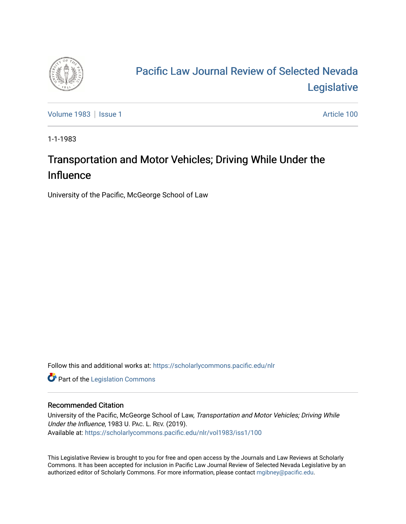

# [Pacific Law Journal Review of Selected Nevada](https://scholarlycommons.pacific.edu/nlr)  [Legislative](https://scholarlycommons.pacific.edu/nlr)

[Volume 1983](https://scholarlycommons.pacific.edu/nlr/vol1983) | [Issue 1](https://scholarlycommons.pacific.edu/nlr/vol1983/iss1) Article 100

1-1-1983

# Transportation and Motor Vehicles; Driving While Under the Influence

University of the Pacific, McGeorge School of Law

Follow this and additional works at: [https://scholarlycommons.pacific.edu/nlr](https://scholarlycommons.pacific.edu/nlr?utm_source=scholarlycommons.pacific.edu%2Fnlr%2Fvol1983%2Fiss1%2F100&utm_medium=PDF&utm_campaign=PDFCoverPages) 

**Part of the [Legislation Commons](http://network.bepress.com/hgg/discipline/859?utm_source=scholarlycommons.pacific.edu%2Fnlr%2Fvol1983%2Fiss1%2F100&utm_medium=PDF&utm_campaign=PDFCoverPages)** 

# Recommended Citation

University of the Pacific, McGeorge School of Law, Transportation and Motor Vehicles; Driving While Under the Influence, 1983 U. PAC. L. REV. (2019). Available at: [https://scholarlycommons.pacific.edu/nlr/vol1983/iss1/100](https://scholarlycommons.pacific.edu/nlr/vol1983/iss1/100?utm_source=scholarlycommons.pacific.edu%2Fnlr%2Fvol1983%2Fiss1%2F100&utm_medium=PDF&utm_campaign=PDFCoverPages) 

This Legislative Review is brought to you for free and open access by the Journals and Law Reviews at Scholarly Commons. It has been accepted for inclusion in Pacific Law Journal Review of Selected Nevada Legislative by an authorized editor of Scholarly Commons. For more information, please contact [mgibney@pacific.edu](mailto:mgibney@pacific.edu).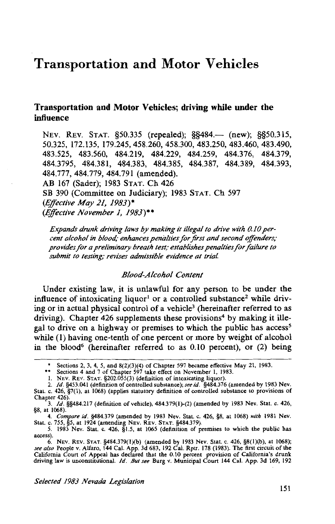# Transportation and Motor Vehicles

# Transportation and Motor Vehicles; driving while under the influence

NEV. REV. STAT. §50.335 (repealed); §§484.— (new); §§50.315, 50.325, 172.135, 179.245, 458.260, 458.300, 483.250, 483.460, 483.490, 483.525, 483.560, 484.219, 484.229, 484.259, 484.376, 484.379, 484.3795, 484.381, 484.383, 484.385, 484.387, 484.389, 484.393, 484.777, 484.779, 484.791 (amended). AB 167 (Sader); 1983 STAT. Ch 426 SB 390 (Committee on Judiciary); 1983 STAT. Ch 597 *(Effective May 21, 1983)\* (Effective November 1, 1983)\*\** 

*Expands drunk driving laws by making it illegal to drive with 0.10 percent alcohol in blood; enhances penalties for first and second offenders; provides for a preliminary breath test; establishes penalties for failure to submit to testing; revises admissible evidence at trial* 

#### *Blood-A !coho/ Content*

Under existing law, it is unlawful for any person to be under the influence of intoxicating liquor<sup>1</sup> or a controlled substance<sup>2</sup> while driving or in actual physical control of a vehicle<sup>3</sup> (hereinafter referred to as driving). Chapter  $426$  supplements these provisions<sup>4</sup> by making it illegal to drive on a highway or premises to which the public has access<sup>5</sup> while (1) having one-tenth of one percent or more by weight of alcohol in the blood<sup>6</sup> (hereinafter referred to as  $0.10$  percent), or  $(2)$  being

<sup>\*</sup> Sections 2, 3, 4, 5, and 8(2)(3)(4) of Chapter 597 became effective May 21, 1983. \*\* Sections 4 and 7 of Chapter 597 take effect on November I, 1983.

I. NEv. REv. STAT. §202.055(3) (definition of intoxicating liquor).

<sup>2.</sup> */d.* §453.041 (definition of controlled substance); *see id.* §484.376 (amended by 1983 Nev. Stat. c. 426, §7(1), at 1068) (applies statutory definition of controlled substance to provisions of Chapter 426).

<sup>3.</sup> */d.* §§484.217 (definition of vehicle), 484.379(1)-(2) (amended by 1983 Nev. Stat. c. 426, §8, at 1068).

<sup>4.</sup> *Compare id.* §484.379 (amended by 1983 Nev. Stat. c. 426, §8, at 1068) *with* 1981 Nev. Stat. c. 755, §5, at 1924 (amending NEV. REV. STAT. §484.379).

<sup>5. 1983</sup> Nev. Stat. c. 426, §1.5, at 1065 (definition of premises to which the public has access).

<sup>6.</sup> NEv. REV. STAT. §484.379(l)(b) (amended by 1983 Nev. Stat. c. 426, §8(l)(b), at 1068); *see also* People v. Alfaro, 144 Cal. App. 3d 683, 192 Cal. Rptr. 178 (1983). The first circuit of the California Court of Appeal has declared that the 0.10 percent provision of California's drunk driving law is unconstitutional. */d. But see* Burg v. Municipal Court 144 Cal. App. 3d 169, 192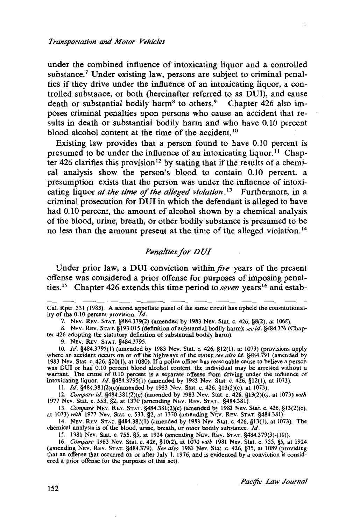under the combined influence of intoxicating liquor and a controlled substance.<sup>7</sup> Under existing law, persons are subject to criminal penalties if they drive under the influence of an intoxicating liquor, a controlled substance, or both (hereinafter referred to as DUI), and cause death or substantial bodily harm<sup>8</sup> to others.<sup>9</sup> Chapter 426 also imposes criminal penalties upon persons who cause an accident that results in death or substantial bodily harm and who have 0.10 percent blood alcohol content at the time of the accident.<sup>10</sup>

Existing law provides that a person found to have 0.10 percent is presumed to be under the influence of an intoxicating liquor. 11 Chapter 426 clarifies this provision<sup>12</sup> by stating that if the results of a chemical analysis show the person's blood to contain 0.10 percent, a presumption exists that the person was under the influence of intoxicating liquor *at the time of the alleged violation*.<sup>13</sup> Furthermore, in a criminal prosecution for DUI in which the defendant is alleged to have had 0.10 percent, the amount of alcohol shown by a chemical analysis of the blood, urine, breath, or other bodily substance is presumed to be no less than the amount present at the time of the alleged violation.<sup>14</sup>

# *Penalties for DUI*

Under prior law, a DUI conviction within *five* years of the present offense was considered a prior offense for purposes of imposing penalties. 15 Chapter 426 extends this time period to *seven* years 16 and estab-

8. NEV. REV. STAT. §193.015 (definition of substantial bodily harm); see id. §484.376 (Chapter 426 adopting the statutory definition of substantial bodily harm).

9. NEv. REV. STAT. §484.3795.

10. */d.* §484.3795(1) (amended by 1983 Nev. Stat. c. 426, §12(1), at 1073) (provisions apply where an accident occurs on or off the highways of the state); *see also id.* §484.791 (amended by 1983 Nev. Stat. c. 426, §20(1), at 1080). If a police officer has reasonable cause to believe a person was DUI or had 0.10 percent blood alcohol content, the individual may be arrested without a warrant. The crime of 0.10 percent is a separate offense from driving under the influence of intoxicating liquor. */d.* §484.3795(1) (amended by 1983 Nev. Stat. c. 426, §12(1), at 1073).

II. */d.* §484.381(2)(c)(amended by 1983 Nev. Stat. c. 426, §13(2)(c), at 1073).

12. *Compare id.* §484.381(2)(c) (amended by 1983 Nev. Stat. c. 426, §13(2)(c), at 1073) *with*  1977 Nev. Stat. c. 553, §2, at 1370 (amending NEV. REv. STAT. §484.381).

13. *Compare* NEV. REV. STAT. §484.381(2)(c) (amended by 1983 Nev. Stat. c. 426, §!3(2)(c), at 1073) *with* 1977 Nev. Stat. c. 533, §2, at 1370 (amending NEV. REV. STAT. §484.381).

14. NEV. REV. STAT. §484.381(1) (amended by 1983 Nev. Stat. c. 426, §13(1), at 1073). The chemical analysis is of the blood, urine, breath, or other bodily substance. */d.* 

15. 1981 Nev. Stat. c. 755, §5, at 1924 (amending NEv. REV. STAT. §484.379(3)-(10)).

16. *Compare* 1983 Nev. Stat. c. 426, §10(2), at 1070 with 1981 Nev. Stat. c. 755, §5, at 1924 (amending NEv. REv. STAT. §484.379). *See also* 1983 Nev. Stat. c. 426, §35, at 1089 (providing that an offense that occurred on or after July I, 1976, and is evidenced by a conviction is considered a prior offense for the purposes of this act).

Cal. Rptr. 531 (1983). A second appellate panel of the same circuit has upheld the constitutionality of the 0.10 percent provision. */d.* 

<sup>7.</sup> NEv. REV. STAT. §484.379(2) (amended by 1983 Nev. Stat. c. 426, §8(2), at 1068).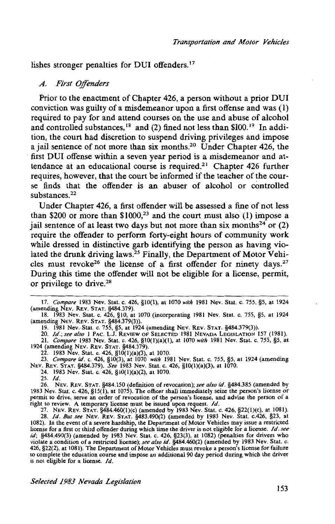lishes stronger penalties for DUI offenders.<sup>17</sup>

### *A. First Offenders*

Prior to the enactment of Chapter 426, a person without a prior DUI conviction was guilty of a misdemeanor upon a first offense and was (1) required to pay for and attend courses on the use and abuse of alcohol and controlled substances,  $18$  and (2) fined not less than \$100.<sup>19</sup> In addition, the court had discretion to suspend driving privileges and impose a jail sentence of not more than six months.2° Under Chapter 426, the first DUI offense within a seven year period is a misdemeanor and attendance at an educational course is required.<sup>21</sup> Chapter 426 further requires, however, that the court be informed if the teacher of the course finds that the offender is an abuser of alcohol or controlled substances<sup>22</sup>

Under Chapter 426, a first offender will be assessed a fine of not less than \$200 or more than  $$1000$ ,<sup>23</sup> and the court must also (1) impose a jail sentence of at least two days but not more than six months<sup>24</sup> or  $(2)$ require the offender to perform forty-eight hours of community work while dressed in distinctive garb identifying the person as having violated the drunk driving laws.<sup>25</sup> Finally, the Department of Motor Vehicles must revoke<sup>26</sup> the license of a first offender for ninety days.<sup>27</sup> During this time the offender will not be eligible for a license, permit, or privilege to drive.28

19. 1981 Nev.· Stat. c. 755, §5, at 1924 (amending NEv. REV. STAT. §484.379(3)).

20. *ld.; see also* I PAC. L.J. REVIEW OF SELECTED 1981 NEVADA LEGISLATION 157 (1981). 21. *Compare* 1983 Nev. Stat. c. 426, §IO(l)(a)(l), at 1070 *with* 1981 Nev. Stat. c. 755, §5, at 1924 (amendmg NEV. REV. STAT. §484.379).

22. 1983 Nev. Stat. c. 426, §IO(l)(a)(3), at 1070. 23. *Compare id.* c. 426, §10(3), at 1070 *with* 1981 Nev. Stat. c. 755, §5, at 1924 (amending NEv. REv. STAT. §484.379). *See* 1983 Nev. Stat. c. 426, §IO(l)(a)(3), at 1070.

24. 1983 Nev. Stat. c. 426, §IO(l)(a)(2), at 1070. 25. *ld.* 

26. NEV. REV. STAT. §484.150 (definition of revocation); *see also id.* §484.385 (amended by 1983 Nev. Stat. c. 426, §15(1), at 1075). The officer shall immediately seize the person's license or permit to drive, serve an order of revocation of the person's license, and advise the person of a

Tight to review. A temporary license must be issued upon request.  $Id$ .<br>27. Nev. Rev. STAT. §484.460(1)(c) (amended by 1983 Nev. Stat. c. 426, §22(1)(c), at 1081).<br>28. Id. But see Nev. Rev. STAT. §483.490(2) (amended by 19 1082). In the event of a severe hardship, the Department of Motor Vehicles may issue a restricted license for a first or third offender during which time the driver is not eligible for a license. *Jd. see id;* §484.490(3) (amended by 1983 Nev. Stat. c. 426, §23(3), at 1082) (penalties for drivers who violate a condition of a restricted license); *see also id.* §484.460(2) (amended by 1983 Nev. Stat. c. 426, §22(2), at 1081). The Department of Motor Vehicles must revoke a person's license for failure to complete the education course and impose an additional 90 day period during which the driver is not eligible for a license. *Id.* 

<sup>17.</sup> *Compare* 1983 Nev. Stat. c. 426, §10(1), at 1070 *with* 1981 Nev. Stat. c. 755, §5, at 1924 (amending NEV. REV. STAT. §484.379).

<sup>18. 1983</sup> Nev. Stat. c. 426, §10, at 1070 (incorporating 1981 Nev. Stat. c. 755, §5, at 1924 (amending NEV. REv. STAT. §484.379(3)).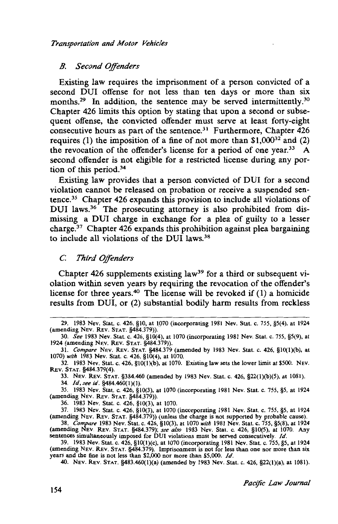# *B. Second Offenders*

Existing law requires the imprisonment of a person convicted of a second DUI offense for not less than ten days or more than six months.<sup>29</sup> In addition, the sentence may be served intermittently.<sup>30</sup> Chapter 426 limits this option by stating that upon a second or subsequent offense, the convicted offender must serve at least forty-eight consecutive hours as part of the sentence.<sup>31</sup> Furthermore, Chapter  $426$ requires (1) the imposition of a fine of not more than  $$1,000^{32}$  and (2) the revocation of the offender's license for a period of one year.<sup>33</sup> A second offender is not eligible for a restricted license during any portion of this period. $34$ 

Existing law provides that a person convicted of DUI for a second violation cannot be released on probation or receive a suspended sentence. 35 Chapter 426 expands this provision to include all violations of DUI laws.<sup>36</sup> The prosecuting attorney is also prohibited from dismissing a DUI charge in exchange for a plea of guilty to a lesser charge.<sup>37</sup> Chapter 426 expands this prohibition against plea bargaining to include all violations of the DUI laws.38

# *C Third Offenders*

Chapter 426 supplements existing law<sup>39</sup> for a third or subsequent violation within seven years by requiring the revocation of the offender's license for three years.40 The license will be revoked if (1) a homicide results from DUI, or (2) substantial bodily harm results from reckless

<sup>29. 1983</sup> Nev. Stat. c. 426, §10, at 1070 (incorporating 1981 Nev. Stat. c. 755, §5(4), at 1924 (amending NEV. REV. STAT. §484.379)).

<sup>30.</sup> *See* 1983 Nev. Stat. c. 426, §10(4), at 1070 (incorporating 1981 Nev. Stat. c. 755, §5(9), at 1924 (amending NEV. REv. STAT. §484.379)).

<sup>31.</sup> *Compare* NEv. REv. STAT. §484.379 (amended by 1983 Nev. Stat. c. 426, §lO(l)(b), at 1070) *with* 1983 Nev. Stat. c. 426, §10(4), at 1070.

<sup>32. 1983</sup> Nev. Stat. c. 426, §10(l)(b), at 1070. Existing law sets the lower limit at \$500. NEV. REv. STAT. §484.379(4).

<sup>33.</sup> NEv. REv. STAT. §384.460 (amended by 1983 Nev. Stat. c. 426, §22(l)(b)(5), at 1081).

<sup>34.</sup> *ld, see id.* §484.460(1)(1).

<sup>35. 1983</sup> Nev. Stat. c. 426, §10(3), at 1070 (incorporating 1981 Nev. Stat. c. 755, §5, at 1924 (amending NEV. REV. STAT. §484.379)).

<sup>36. 1983</sup> Nev. Stat. c. 426, §10(3), at 1070.

<sup>37. 1983</sup> Nev. Stat. c. 426, §10(3), at 1070 (incorporating 1981 Nev. Stat. c. 755, §5, at 1924 (amending NEv. REv. STAT. §484.379)) (unless the charge is not supported by probable cause).

<sup>38.</sup> *Compare* 1983 Nev. Stat. c. 426, §10(3), at 1070 *with* 1981 Nev. Stat. c. 755, §5(8), at 1924 (amending NEv. REv. STAT. §484.379); *see also* 1983 Nev. Stat. c. 426, §10(5), at 1070. Any sentences simultaneously imposed for DUI violations must be served consecutively. /d.

<sup>39. 1983</sup> Nev. Stat. c. 426, §lO(l)(c), at 1070 (incorporating 1981 Nev. Stat. c. 755, §5, at 1924 (amending NEv. REv. STAT. §484.379). Imprisonment is not for less than one nor more than six years and the fine is not less than \$2,000 nor more than \$5,000. Id.

<sup>40.</sup> NEV. REV. STAT. §483.460(l)(a) (amended by 1983 Nev. Stat. c. 426, §22(l)(a), at 1081).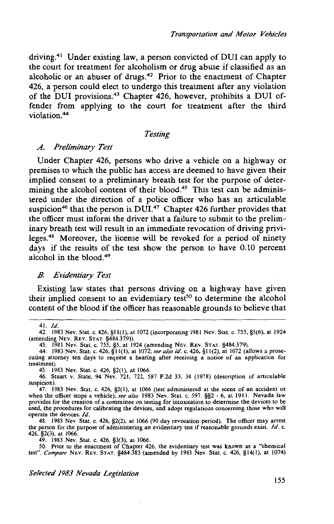driving.41 Under existing law, a person convicted of DUI can apply to the court for treatment for alcoholism or drug abuse if classified as an alcoholic or an abuser of drugs.<sup>42</sup> Prior to the enactment of Chapter 426, a person could elect to undergo this treatment after any violation of the DUI provisions.43 Chapter 426, however, prohibits a DUI offender from applying to the court for treatment after the third violation.<sup>44</sup>

# *Testing*

### *A. Preliminary Test*

Under Chapter 426, persons who drive a vehicle on a highway or premises to which the public has access are deemed to have given their implied consent to a preliminary breath test for the purpose of determining the alcohol content of their blood.<sup>45</sup> This test can be administered under the direction of a police officer who has an articulable suspicion<sup>46</sup> that the person is DUI.<sup>47</sup> Chapter 426 further provides that the officer must inform the driver that a failure to submit to the preliminary breath test will result in an immediate revocation of driving privileges.48 Moreover, the license will be revoked for a period of ninety days if the results of the test show the person to have 0.10 percent alcohol in the blood.<sup>49</sup>

# *B. Evidentiary Test*

Existing law states that persons driving on a highway have given their implied consent to an evidentiary test<sup>50</sup> to determine the alcohol content of the blood if the officer has reasonable grounds to believe that

44. 1983 Nev. Stat. c. 426, §11(1), at 1072; *see also id.* c. 426, §11(2), at 1072 (allows a prose-cuting attorney ten days to request a hearing after receiving a notice of an application for treatment).

45. 1983 Nev. Stat. c. 426, §2(1), at 1066. 46. Stuart v. State, 94 Nev. 721, 722, 587 P.2d 33, 34 (1978) (description of articulable suspicion).

47. 1983 Nev. Stat. c. 426, §2(1), at 1066 (test administered at the scene of an accident or when the officer stops a vehicle); *see also* 1983 Nev. Stat. c. 597, §§2 - 6, at 1911. Nevada law provides for the creation of a committee on testing for intoxication to determine the devices to be used, the procedures for calibrating the devices, and adopt regulations concerning those who will operate the devices. *Id.* 

48. 1983 Nev. Stat. c. 426, §2(2), at 1066 (90 day revocation period). The officer may arrest the person for the purpose of administering an evidentiary test if reasonable grounds exist. *!d.* c. 426, §2(3), at 1066.

49. 1983 Nev. Stat. c. 426, §3(3), at 1066. 50. Prior to the enactment of Chapter 426, the evidentiary test was known as a "chemical test". *Compare* NEv. REv. STAT. §484.383 (amended by 1983 Nev. Stat. c. 426, §14(1), at 1074)

*Selected 1983 Nevada Legislation* 

<sup>41.</sup> *Id.* 

<sup>42. 1983</sup> Nev. Stat. c. 426, §11(1), at 1072 (incorporating 1981 Nev. Stat. c. 755, §5(6), at 1924 (amending NEV. REV. STAT. §484.379)).

<sup>43. 1981</sup> Nev. Stat. c. 755, *§5,* at 1924 (amending NEV. REV. STAT. §484.379).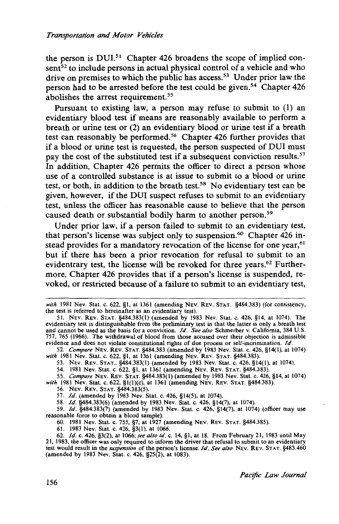the person is DUI.51 Chapter 426 broadens the scope of implied con $sent<sup>52</sup>$  to include persons in actual physical control of a vehicle and who drive on premises to which the public has access.<sup>53</sup> Under prior law the person had to be arrested before the test could be given. 54 Chapter 426 abolishes the arrest requirement.<sup>55</sup>

Pursuant to existing law, a person may refuse to submit to (1) an evidentiary blood test if means are reasonably available to perform a breath or urine test or (2) an evidentiary blood or urine test if a breath test can reasonably be performed.<sup>56</sup> Chapter 426 further provides that if a blood or urine test is requested, the person suspected of DUI must pay the cost of the substituted test if a subsequent conviction results.<sup>57</sup> In addition, Chapter 426 permits the officer to direct a person whose use of a controlled substance is at issue to submit to a blood or urine test, or both, in addition to the breath test.<sup>58</sup> No evidentiary test can be given, however, if the DUI suspect refuses to submit to an evidentiary test, unless the officer has reasonable cause to believe that the person caused death or substantial bodily harm to another person.<sup>59</sup>

Under prior law, if a person failed to submit to an evidentiary test, that person's license was subject only to suspension.<sup>60</sup> Chapter 426 instead provides for a mandatory revocation of the license for one year,<sup>61</sup> but if there has been a prior revocation for refusal to submit to an evidentrary test, the license will be revoked for three years.<sup>62</sup> Furthermore, Chapter 426 provides that if a person's license is suspended, revoked, or restricted because of a failure to submit to an evidentiary test,

52. *Compare* NEv. REv. STAT. §484.383 (amended by 1983 Nev. Stat. c. 426, §14(1), at 1074) *with* 1981 Nev. Stat. c. 622, §1, at 1361 (amending NEV. REV. STAT. §484.383).

53. NEV. REV. STAT.. §484.383(1) (amended by 1983 Nev. Stat. c. 426, §14(1), at 1074).

54. 1981 Nev. Stat. c. 622, §1, at 1361 (amending NEv. REv. STAT. §484.383).

55. *Compare* NEv. REv. STAT. §484.383(1) (amended by 1983 Nev. Stat. c. 426, §14, at 1074) *with* 1981 Nev. Stat. c. 622, §l(l)(c), at 1361 (amending NEV. REv. STAT. §484.383).

56. NEV. REV. STAT. §484.383(5).

57. *ld.* (amended by 1983 Nev. Stat. c. 426, §14(5), at 1074).

58. *ld.* §484.383(6) (amended by 1983 Nev. Stat. c. 426, §14(7), at 1074).

59. *ld.* §484.383(7) (amended by 1983 Nev. Stat. c. 426, §14(7), at 1074) (officer may use reasonable force to obtain a blood sample).

60. 1981 Nev. Stat. c. 755, §7, at 1927 (amending NEv. REV. STAT. §484.385).

61. 1983 Nev. Stat. c. 426, §3(1), at 1066.

62. *!d.* c. 426, §3(2), at 1066; *see also id.* c. 14, §1, at 18. From February 21, 1983 until May 21, 1983, the officer was only required to inform the driver that refusal to submit to an evidentiary test would result in the *suspension* of the person's license. *I d. See also* NEv. REv. STAT. §483.460 (amended by 1983 Nev. Stat. c. 426, §25(2), at 1083).

with 1981 Nev. Stat. c. 622, §1, at 1361 (amending NEV. REV. STAT. §484.383) (for consistency, the test is referred to hereinafter as an evidentiary test).

<sup>51.</sup> NEv. REv. STAT. §484.383(1) (amended by 1983 Nev. Stat. c. 426, §14, at 1074). The evidentiary test is distinguishable from the preliminary test in that the latter is only a breath test and cannot be used as the basis for a conviction. *!d. See also* Schmerber v. California, 384 U.S. 757, 765 (1966). The withdrawal of blood from those accused over their objection is admissible evidence and does not violate constitutional rights of due process or self-incrimination. *!d.*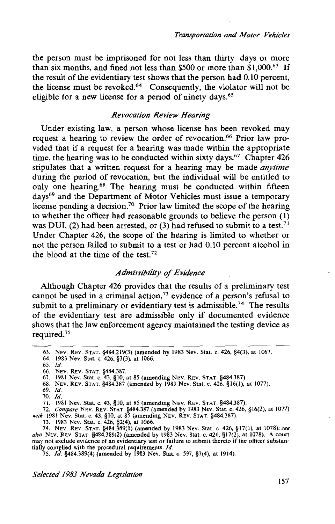the person must be imprisoned for not less than thirty days or more than six months, and fined not less than \$500 or more than \$1,000.<sup>63</sup> If the result of the evidentiary test shows that the person had 0.10 percent, the license must be revoked.64 Consequently, the violator will not be eligible for a new license for a period of ninety days.<sup>65</sup>

# *Revocation Review Hearing*

Under existing law, a person whose license has been revoked may request a hearing to review the order of revocation.<sup>66</sup> Prior law provided that if a request for a hearing was made within the appropriate time, the hearing was to be conducted within sixty days.<sup>67</sup> Chapter  $426$ stipulates that a written request for a hearing may be made *anytime*  during the period of revocation, but the individual will be entitled to only one hearing.68 The hearing must be conducted within fifteen days<sup>69</sup> and the Department of Motor Vehicles must issue a temporary license pending a decision.<sup>70</sup> Prior law limited the scope of the hearing to whether the officer had reasonable grounds to believe the person (1) was DUI, (2) had been arrested, or (3) had refused to submit to a test.<sup>71</sup> Under Chapter 426, the scope of the hearing is limited to whether or not the person failed to submit to a test or had 0.10 percent alcohol in the blood at the time of the test. $72$ 

# *Admissibility of Evidence*

Although Chapter 426 provides that the results of a preliminary test cannot be used in a criminal action,<sup>73</sup> evidence of a person's refusal to submit to a preliminary or evidentiary test is admissible.<sup>74</sup> The results of the evidentiary test are admissible only if documented evidence shows that the law enforcement agency maintained the testing device as required.<sup>75</sup>

70. */d.* 

71. 1981 Nev. Stat. c. 43, §10, at 85 (amending NEV. REV. STAT. §484.387).

72. *Compare* NEV. REV. STAT. §484.387 (amended by 1983 Nev. Stat. c. 426, §16(2), at 1077)

*with* 1981 Nev. Stat. c. 43, §10, at 85 (amending NEV. REV. STAT. §484.387).

73. 1983 Nev. Stat. c. 426, §2(4), at 1066.

74. NEV. REv. STAT. §484.389(1) (amended by 1983 Nev. Stat. c. 426, §17(1), at 1078); *see also* NEV. REv. STAT. §484.389(2) (amended by 1983 Nev. Stat. c. 426, §17(2), at 1078). A court may not exclude evidence of an evidentiary test or failure to submit thereto if the officer substan-

tially complied with the procedural requirements. *Id.* 75. *Id.* §484.389(4) (amended by 1983 Nev. Stat. c. 597, §7(4), at 1914).

*Selected 1983 Nevada Legislation* 

<sup>63.</sup> NEV. REv. STAT. §484.219(3) (amended by 1983 Nev. Stat. c. 426, §4(3), at 1067.

<sup>64. 1983</sup> Nev. Stat. c. 426, §3(3), at 1066.

<sup>65.</sup> */d.* .

<sup>66.</sup> NEV. REV. STAT. §484.387.

<sup>67. 1981</sup> Nev. Stat. c. 43, §10, at 85 (amending NEV. REV. STAT. §484.387).

<sup>68.</sup> NEV. REv. STAT. §484.387 (amended by 1983 Nev. Stat. c. 426, §16(1), at 1077).

<sup>69.</sup> */d.*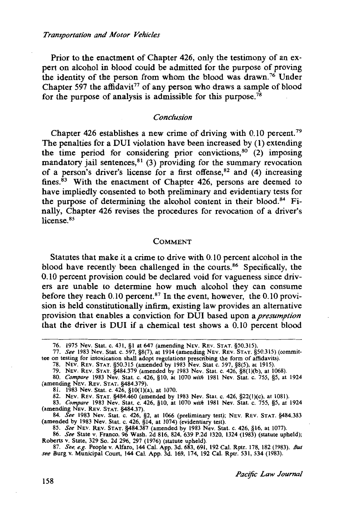Prior to the enactment of Chapter 426, only the testimony of an expert on alcohol in blood could be admitted for the purpose of proving the identity of the person from whom the blood was drawn.76 Under Chapter 597 the affidavit<sup>77</sup> of any person who draws a sample of blood for the purpose of analysis is admissible for this purpose.<sup>78</sup>

#### *Conclusion*

Chapter 426 establishes a new crime of driving with 0.10 percent.<sup>79</sup> The penalties for a DUI violation have been increased by (1) extending the time period for considering prior convictions,  $80^\circ$  (2) imposing mandatory jail sentences, $81$  (3) providing for the summary revocation of a person's driver's license for a first offense,  $82$  and (4) increasing fines. $83$  With the enactment of Chapter 426, persons are deemed to have impliedly consented to both preliminary and evidentiary tests for the purpose of determining the alcohol content in their blood.<sup>84</sup> Finally, Chapter 426 revises the procedures for revocation of a driver's license<sup>85</sup>

#### COMMENT

Statutes that make it a crime to drive with 0.10 percent alcohol in the blood have recently been challenged in the courts.<sup>86</sup> Specifically, the 0.10 percent provision could be declared void for vagueness since drivers are unable to determine how much alcohol they can consume before they reach 0.10 percent.<sup>87</sup> In the event, however, the 0.10 provision is held constitutionally infirm, existing law provides an alternative provision that enables a conviction for DUI based upon a *presumption*  that the driver is DUI if a chemical test shows a 0.10 percent blood

84. *See* 1983 Nev. Stat. c. 426, §2, at 1066 (preliminary test); NEV. REV. STAT. §484.383 (amended by 1983 Nev. Stat. c. 426, §14, at 1074) (evidentiary test).

85. *See* NEv. REv. STAT. §484.387 (amended by 1983 Nev. Stat. c. 426, §16, at 1077).

86. *See* State v. Franco, 96 Wash. 2d 816, 824, 639 P.2d 1320, 1324 (1983) (statute upheld); Roberts v. State, 329 So. 2d 296, 297 (1976) (statute upheld).

<sup>76. 1975</sup> Nev. Stat. c. 431, §l at 647 (amending NEV. REV. STAT. §50.315).

<sup>77.</sup> *See* 1983 Nev. Stat. c. 597, §8(7), at 1914 (amending NEv. REv. STAT. §50.315) (commit-tee on testing for intoxication shall adopt regulations prescribing the form of affidavits).

<sup>78.</sup> NEV. REv. STAT. §50.315 (amended by 1983 Nev. Stat c. 597, §8(5), at 1915).

<sup>79.</sup> NEV. REv. STAT. §484.379 (amended by 1983 Nev. Stat. c. 426, §8(l)(b), at 1068).

<sup>80.</sup> *Compare* 1983 Nev. Stat. c. 426, §10, at 1070 *with* 1981 Nev. Stat. c. 755, §5, at 1924 (amending NEv. REv. STAT. §484.379).

<sup>81. 1983</sup> Nev. Stat. c. 426, §IO(l)(a), at 1070.

<sup>82.</sup> NEv. REv. STAT. §484.460 (amended by 1983 Nev. Stat. c. 426, §22(l)(c), at 1081).

<sup>83.</sup> *Compare* 1983 Nev. Stat. c. 426, §10, at 1070 *with* 1981 Nev. Stat. c. 755, §5, at 1924 (amending NEV. REV. STAT. §484.37).

<sup>87.</sup> *See, e.g.* People v. Alfaro, 144 Cal. App. 3d. 683, 691, 192 Cal. Rptr. 178, 182 (1983). *But see* Burg v. Municipal Court, 144 Cal. App. 3d. 169, 174, 192 Cal. Rptr. 531, 534 (1983).